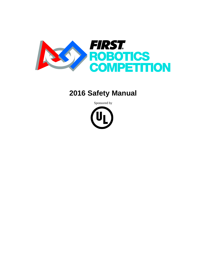

# **2016 Safety Manual**

Sponsored by

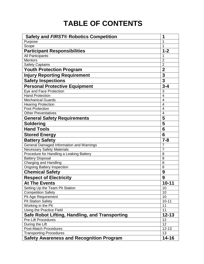# **TABLE OF CONTENTS**

| <b>Safety and FIRST® Robotics Competition</b>                                     | 1              |
|-----------------------------------------------------------------------------------|----------------|
| Purpose                                                                           | 1              |
| Scope                                                                             | 1              |
| <b>Participant Responsibilities</b>                                               | $1 - 2$        |
| <b>All Participants</b>                                                           | 1              |
| <b>Mentors</b>                                                                    | $\overline{2}$ |
| <b>Safety Captains</b>                                                            | $\overline{2}$ |
| <b>Youth Protection Program</b>                                                   | $\overline{2}$ |
| <b>Injury Reporting Requirement</b>                                               | 3              |
| <b>Safety Inspections</b>                                                         | 3              |
| <b>Personal Protective Equipment</b>                                              | $3 - 4$        |
| Eye and Face Protection                                                           | 3              |
| <b>Hand Protection</b>                                                            | $\overline{4}$ |
| <b>Mechanical Guards</b>                                                          | 4              |
| <b>Hearing Protection</b>                                                         | 4              |
| <b>Foot Protection</b>                                                            | 4              |
| <b>Other Preventatives</b>                                                        | $\overline{4}$ |
| <b>General Safety Requirements</b>                                                | 5              |
| <b>Soldering</b>                                                                  | 5              |
| <b>Hand Tools</b>                                                                 | 6              |
| <b>Stored Energy</b>                                                              | 6              |
|                                                                                   |                |
| <b>Battery Safety</b>                                                             | $7 - 8$        |
| General Damaged Information and Warnings                                          | 7              |
| <b>Necessary Safety Materials</b>                                                 | $\overline{7}$ |
| Procedure for Handling a Leaking Battery                                          | 8              |
| <b>Battery Disposal</b>                                                           | 8              |
| <b>Charging and Handling</b>                                                      | 8              |
| <b>Ongoing Battery Inspection</b>                                                 | 8              |
| <b>Chemical Safety</b>                                                            | 9              |
| <b>Respect of Electricity</b>                                                     | 9              |
| <b>At The Events</b>                                                              | $10 - 11$      |
| Setting Up the Team Pit Station                                                   | 10             |
| <b>Competition Safety</b>                                                         | 10             |
| Pit Age Requirement                                                               | 10             |
| <b>Pit Station Safety</b>                                                         | $10-11$        |
| Working in the Pit                                                                | 11             |
| Using the Practice Field                                                          | 11             |
| Safe Robot Lifting, Handling, and Transporting                                    | $12 - 13$      |
| <b>Pre-Lift Procedures</b>                                                        | 12             |
| During the Lift                                                                   | 12             |
| <b>Post-Match Procedures</b>                                                      | $12 - 13$      |
| <b>Transporting Procedures</b><br><b>Safety Awareness and Recognition Program</b> | 13<br>14-16    |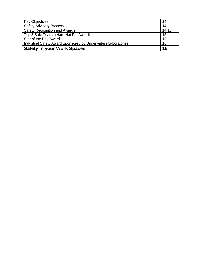| <b>Key Objectives</b>                                          | 14        |
|----------------------------------------------------------------|-----------|
| <b>Safety Advisory Process</b>                                 | 14        |
| <b>Safety Recognition and Awards</b>                           | $14 - 15$ |
| Top 3 Safe Teams (Hard Hat Pin Award)                          | 15        |
| Star of the Day Award                                          | 15        |
| Industrial Safety Award Sponsored by Underwriters Laboratories | 16        |
| <b>Safety in your Work Spaces</b>                              | 16        |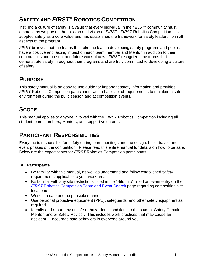# **SAFETY AND** *FIRST®* **ROBOTICS COMPETITION**

Instilling a culture of safety is a value that every individual in the *FIRST®* community must embrace as we pursue the mission and vision of *FIRST*. *FIRST* Robotics Competition has adopted safety as a core value and has established the framework for safety leadership in all aspects of the program.

*FIRST* believes that the teams that take the lead in developing safety programs and policies have a positive and lasting impact on each team member and Mentor, in addition to their communities and present and future work places. *FIRST* recognizes the teams that demonstrate safety throughout their programs and are truly committed to developing a culture of safety.

## **PURPOSE**

This safety manual is an easy-to-use guide for important safety information and provides *FIRST* Robotics Competition participants with a basic set of requirements to maintain a safe environment during the build season and at competition events.

# **SCOPE**

This manual applies to anyone involved with the *FIRST* Robotics Competition including all student team members, Mentors, and support volunteers.

## **PARTICIPANT RESPONSIBILITIES**

Everyone is responsible for safety during team meetings and the design, build, travel, and event phases of the competition. Please read this entire manual for details on how to be safe. Below are the expectations for *FIRST* Robotics Competition participants.

### **All Participants**

- Be familiar with this manual, as well as understand and follow established safety requirements applicable to your work area.
- Be familiar with any site restrictions listed in the "Site Info" listed on event entry on the *FIRST* [Robotics Competition](http://www.firstinspires.org/team-event-search) Team and Event Search page regarding competition site location(s).
- Work in a safe and responsible manner.
- Use personal protective equipment (PPE), safeguards, and other safety equipment as required.
- Identify and report any unsafe or hazardous conditions to the student Safety Captain, Mentor, and/or Safety Advisor. This includes work practices that may cause an accident. Encourage safe behaviors in everyone around you.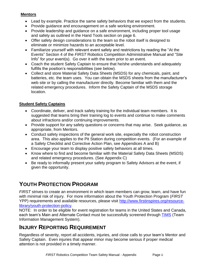### **Mentors**

- Lead by example. Practice the same safety behaviors that we expect from the students.
- Provide guidance and encouragement on a safe working environment.
- Provide leadership and guidance on a safe environment, including proper tool usage and safety as outlined in the Hand Tools section on page 6.
- Offer safety design considerations to the team so the robot itself is designed to eliminate or minimize hazards to an acceptable level.
- Familiarize yourself with relevant event safety and restrictions by reading the "At the Events" Section 4 of the *FIRST* Robotics Competition Administrative Manual and "Site Info" for your event(s). Go over it with the team prior to an event.
- Coach the student Safety Captain to ensure that he/she understands and adequately fulfills the position's responsibilities (see below).
- Collect and store Material Safety Data Sheets (MSDS) for any chemicals, paint, and batteries, etc. the team uses. You can obtain the MSDS sheets from the manufacturer's web site or by calling the manufacturer directly. Become familiar with them and the related emergency procedures. Inform the Safety Captain of the MSDS storage location.

### **Student Safety Captains**

- Coordinate, deliver, and track safety training for the individual team members. It is suggested that teams bring their training log to events and continue to make comments about infractions and/or continuing improvements.
- Provide support for any safety questions or concerns that may arise. Seek quidance, as appropriate, from Mentors.
- Conduct safety inspections of the general work site, especially the robot construction area. This also applies to the Pit Station during competition events. (For an example of a Safety Checklist and Corrective Action Plan, see Appendices A and B)
- Encourage your team to display positive safety behaviors at all times.
- Know where to find and become familiar with the Material Safety Data Sheets (MSDS) and related emergency procedures. (See Appendix C)
- Be ready to informally present your safety program to Safety Advisors at the event, if given the opportunity.

# **YOUTH PROTECTION PROGRAM**

*FIRST* strives to create an environment in which team members can grow, learn, and have fun with minimal risk of injury. For more information about the Youth Protection Program (*FIRST* YPP) requirements and available resources, please visit [http://www.firstinspires.org/resource](http://www.firstinspires.org/resource-library/youth-protection-policy)[library/youth-protection-policy.](http://www.firstinspires.org/resource-library/youth-protection-policy)

NOTE: In order to be eligible for event registration for teams in the United States and Canada, each team's Main and Alternate Contact must be successfully screened through [TIMS](https://my.usfirst.org/frc/tims/site.lasso) (Team Information Management System).

## **INJURY REPORTING REQUIREMENT**

Regardless of severity, report all accidents, injuries, and close calls to your team's Mentor and Safety Captain. Even injuries that appear minor may become serious if proper medical attention is not provided in a timely manner.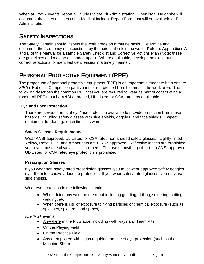When at *FIRST* events, report all injuries to the Pit Administration Supervisor. He or she will document the injury or illness on a Medical Incident Report Form that will be available at Pit Administration.

# **SAFETY INSPECTIONS**

The Safety Captain should inspect the work areas on a routine basis. Determine and document the frequency of inspections by the potential risk in the work. Refer to Appendices A and B of this Manual for a sample Safety Checklist and Corrective Actions Plan (Note: these are guidelines and may be expanded upon). Where applicable, develop and close out corrective actions for identified deficiencies in a timely manner.

## **PERSONAL PROTECTIVE EQUIPMENT (PPE)**

The proper use of personal protective equipment (PPE) is an important element to help ensure *FIRST* Robotics Competition participants are protected from hazards in the work area. The following describes the common PPE that you are required to wear as part of constructing a robot. All PPE must be ANSI-approved, UL-Listed, or CSA rated, as applicable.

### **Eye and Face Protection**

There are several forms of eye/face protection available to provide protection from these hazards, including safety glasses with side shields, goggles, and face shields. Inspect equipment for damage each time it is worn.

### **Safety Glasses Requirements**

Wear ANSI-approved, UL Listed, or CSA rated non-shaded safety glasses. Lightly tinted Yellow, Rose, Blue, and Amber tints are *FIRST* approved. Reflective lenses are prohibited, your eyes must be clearly visible to others. The use of anything other than ANSI-approved, UL-Listed, or CSA rated eye protection is prohibited.

### **Prescription Glasses**

If you wear non-safety rated prescription glasses, you must wear approved safety goggles over them to achieve adequate protection. If you wear safety rated glasses, you may use side shields.

Wear eye protection in the following situations:

- When doing any work on the robot including grinding, drilling, soldering, cutting, welding, etc.
- When there is risk of exposure to flying particles or chemical exposure (such as splashes, splatters, and sprays)

At *FIRST* events:

- Anywhere in the Pit Station including walk ways and Team Pits
- On the Playing Field
- On the Practice Field
- Any area posted with signs requiring the use of eye protection (such as the Machine Shop)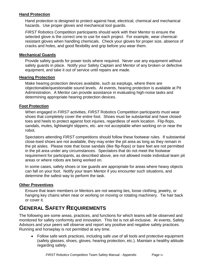### **Hand Protection**

Hand protection is designed to protect against heat, electrical, chemical and mechanical hazards. Use proper gloves and mechanical tool guards.

*FIRST* Robotics Competition participants should work with their Mentor to ensure the selected glove is the correct one to use for each project. For example, wear chemicalresistant gloves when handling chemicals. Check your gloves for proper size, absence of cracks and holes, and good flexibility and grip before you wear them.

#### **Mechanical Guards**

Provide safety guards for power tools where required. Never use any equipment without safety guards in place. Notify your Safety Captain and Mentor of any broken or defective equipment, and take it out of service until repairs are made.

#### **Hearing Protection**

Make hearing protection devices available, such as earplugs, where there are objectionable/questionable sound levels. At events, hearing protection is available at Pit Administration. A Mentor can provide assistance in evaluating high-noise tasks and determining appropriate hearing protection devices.

### **Foot Protection**

When engaged in *FIRST* activities, *FIRST* Robotics Competition participants must wear shoes that completely cover the entire foot. Shoes must be substantial and have closedtoes and heels to protect against foot injuries, regardless of work location. Flip-flops, sandals, mules, lightweight slippers, etc. are not acceptable when working on or near the robot.

Spectators attending *FIRST* competitions should follow these footwear rules. If substantial close-toed shoes are not available, they may enter the pit area as long as they remain in the pit aisles. Please note that loose sandals (like flip-flops) or bare feet are not permitted in the pit area under any circumstances. Spectators that do not meet the footwear requirement for participants, as described above, are not allowed inside individual team pit areas or where robots are being worked on.

In some cases, safety shoes or toe guards are appropriate for areas where heavy objects can fall on your foot. Notify your team Mentor if you encounter such situations, and determine the safest way to perform the task.

### **Other Preventives**

Ensure that team members or Mentors are not wearing ties, loose clothing, jewelry, or hanging key chains when near or working on moving or rotating machinery. Tie hair back or cover it.

## **GENERAL SAFETY REQUIREMENTS**

The following are some areas, practices, and functions for which teams will be observed and monitored for safety conformity and innovation. This list is not all-inclusive. At events, Safety Advisors and your peers will observe and report any positive and negative safety practices. Running and horseplay is not permitted at any time.

 Follow safe work practices, including safe use of all tools and protective equipment (safety glasses, shoes, gloves, hearing protection, etc.). Maintain a healthy attitude regarding safety.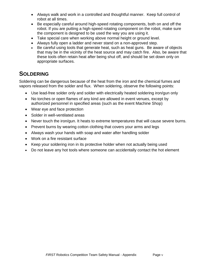- Always walk and work in a controlled and thoughtful manner. Keep full control of robot at all times.
- Be especially careful around high-speed rotating components, both on and off the robot. If you are putting a high-speed rotating component on the robot, make sure the component is designed to be used the way you are using it.
- Take special care when working above normal height or ground level.
- Always fully open a ladder and never stand on a non-approved step.
- Be careful using tools that generate heat, such as heat guns. Be aware of objects that may be in the vicinity of the heat source and may catch fire. Also, be aware that these tools often retain heat after being shut off, and should be set down only on appropriate surfaces.

### **SOLDERING**

Soldering can be dangerous because of the heat from the iron and the chemical fumes and vapors released from the solder and flux. When soldering, observe the following points:

- Use lead-free solder only and solder with electrically heated soldering iron/gun only
- No torches or open flames of any kind are allowed in event venues, except by authorized personnel in specified areas (such as the event Machine Shop)
- Wear eye and face protection
- Solder in well-ventilated areas
- Never touch the iron/gun. It heats to extreme temperatures that will cause severe burns.
- Prevent burns by wearing cotton clothing that covers your arms and legs
- Always wash your hands with soap and water after handling solder
- Work on a fire resistant surface
- Keep your soldering iron in its protective holder when not actually being used
- Do not leave any hot tools where someone can accidentally contact the hot element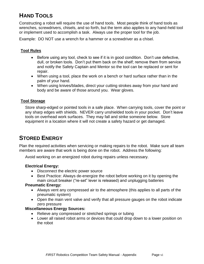# **HAND TOOLS**

Constructing a robot will require the use of hand tools. Most people think of hand tools as wrenches, screwdrivers, chisels, and so forth, but the term also applies to any hand-held tool or implement used to accomplish a task. Always use the proper tool for the job.

Example: DO NOT use a wrench for a hammer or a screwdriver as a chisel.

### **Tool Rules**

- Before using any tool, check to see if it is in good condition. Don't use defective, dull, or broken tools. Don't put them back on the shelf; remove them from service and notify the Safety Captain and Mentor so the tool can be replaced or sent for repair.
- When using a tool, place the work on a bench or hard surface rather than in the palm of your hand.
- When using knives/blades, direct your cutting strokes away from your hand and body and be aware of those around you. Wear gloves.

### **Tool Storage**

Store sharp-edged or pointed tools in a safe place. When carrying tools, cover the point or any sharp edges with shields. NEVER carry unshielded tools in your pocket. Don't leave tools on overhead work surfaces. They may fall and strike someone below. Store equipment in a location where it will not create a safety hazard or get damaged.

## **STORED ENERGY**

Plan the required activities when servicing or making repairs to the robot. Make sure all team members are aware that work is being done on the robot. Address the following:

Avoid working on an energized robot during repairs unless necessary.

#### **Electrical Energy:**

- Disconnect the electric power source
- Best Practice: Always de-energize the robot before working on it by opening the main circuit breaker ("re-set" lever is released) and unplugging batteries

#### **Pneumatic Energy:**

- Always vent any compressed air to the atmosphere (this applies to all parts of the pneumatic system)
- Open the main vent valve and verify that all pressure gauges on the robot indicate zero pressure

#### **Miscellaneous Energy Sources:**

- Relieve any compressed or stretched springs or tubing
- Lower all raised robot arms or devices that could drop down to a lower position on the robot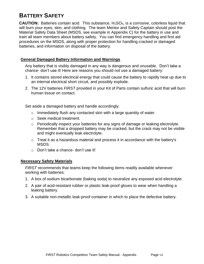## **BATTERY SAFETY**

**CAUTION:** Batteries contain acid. This substance, H<sub>2</sub>SO<sub>4</sub>, is a corrosive, colorless liquid that will burn your eyes, skin, and clothing. The team Mentor and Safety Captain should post the Material Safety Data Sheet (MSDS, see example in Appendix C) for the battery in use and train all team members about battery safety. You can find emergency handling and first aid procedures on the MSDS, along with proper protection for handling cracked or damaged batteries, and information on disposal of the battery.

### **General Damaged Battery Information and Warnings**

Any battery that is visibly damaged in any way is dangerous and unusable. Don't take a chance- don't use it! Here are reasons you should not use a damaged battery:

- 1. It contains stored electrical energy that could cause the battery to rapidly heat up due to an internal electrical short circuit, and possibly explode.
- 2. The 12V batteries *FIRST* provided in your Kit of Parts contain sulfuric acid that will burn human tissue on contact.

Set aside a damaged battery and handle accordingly:

- $\circ$  Immediately flush any contacted skin with a large quantity of water.
- o Seek medical treatment.
- $\circ$  Periodically inspect your batteries for any signs of damage or leaking electrolyte. Remember that a dropped battery may be cracked, but the crack may not be visible and might eventually leak electrolyte.
- $\circ$  Treat it as a hazardous material and process it in accordance with the battery's MSDS.
- o Don't take a chance- don't use it!

### **Necessary Safety Materials**

*FIRST* recommends that teams keep the following items readily available whenever working with batteries:

- 1. A box of sodium bicarbonate (baking soda) to neutralize any exposed acid electrolyte.
- 2. A pair of acid-resistant rubber or plastic leak-proof gloves to wear when handling a leaking battery.
- 3. A suitable non-metallic leak-proof container in which to place the defective battery.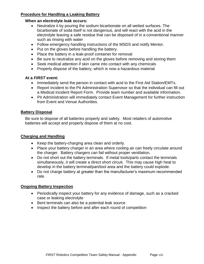### **Procedure for Handling a Leaking Battery**

### **When an electrolyte leak occurs:**

- Neutralize it by pouring the sodium bicarbonate on all wetted surfaces. The bicarbonate of soda itself is not dangerous, and will react with the acid in the electrolyte leaving a safe residue that can be disposed of in a conventional manner such as rinsing with water
- Follow emergency handling instructions of the MSDS and notify Mentor.
- Put on the gloves before handling the battery.
- Place the battery in a leak-proof container for removal
- Be sure to neutralize any acid on the gloves before removing and storing them
- Seek medical attention if skin came into contact with any chemicals
- Properly dispose of the battery, which is now a hazardous material

#### **At a** *FIRST* **event:**

- Immediately send the person in contact with acid to the First Aid Station/EMTs.
- Report incident to the Pit Administration Supervisor so that the individual can fill out a Medical Incident Report Form. Provide team number and available information.
- Pit Administration will immediately contact Event Management for further instruction from Event and Venue Authorities.

### **Battery Disposal**

Be sure to dispose of all batteries properly and safety. Most retailers of automotive batteries will accept and properly dispose of them at no cost.

### **Charging and Handling**

- Keep the battery-charging area clean and orderly.
- Place your battery charger in an area where cooling air can freely circulate around the charger. Battery chargers can fail without proper ventilation.
- Do not short out the battery terminals. If metal tools/parts contact the terminals simultaneously, it will create a direct short circuit. This may cause high heat to develop in the battery terminal/part/tool area and the battery could explode.
- Do not charge battery at greater than the manufacturer's maximum recommended rate.

### **Ongoing Battery Inspection**

- Periodically inspect your battery for any evidence of damage, such as a cracked case or leaking electrolyte
- Bent terminals can also be a potential leak source
- Inspect the battery before and after each round of competition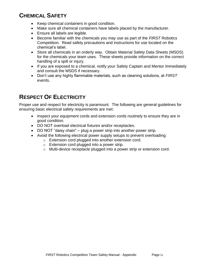# **CHEMICAL SAFETY**

- Keep chemical containers in good condition.
- Make sure all chemical containers have labels placed by the manufacturer.
- Ensure all labels are legible.
- Become familiar with the chemicals you may use as part of the *FIRST* Robotics Competition. Read safety precautions and instructions for use located on the chemical's label.
- Store all chemicals in an orderly way. Obtain Material Safety Data Sheets (MSDS) for the chemicals your team uses. These sheets provide information on the correct handling of a spill or injury.
- If you are exposed to a chemical, notify your Safety Captain and Mentor immediately and consult the MSDS if necessary.
- Don't use any highly flammable materials, such as cleaning solutions, at *FIRST*  events.

# **RESPECT OF ELECTRICITY**

Proper use and respect for electricity is paramount. The following are general guidelines for ensuring basic electrical safety requirements are met:

- Inspect your equipment cords and extension cords routinely to ensure they are in good condition.
- DO NOT overload electrical fixtures and/or receptacles.
- DO NOT "daisy chain" plug a power strip into another power strip.
- Avoid the following electrical power supply setups to prevent overloading:
	- o Extension cord plugged into another extension cord.
		- o Extension cord plugged into a power strip.
	- o Multi-device receptacle plugged into a power strip or extension cord.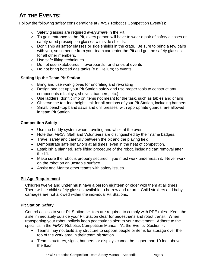# **AT THE EVENTS:**

Follow the following safety considerations at *FIRST* Robotics Competition Event(s):

- o Safety glasses are required *everywhere* in the Pit.
- $\circ$  To gain entrance to the Pit, every person will have to wear a pair of safety glasses or safety rated prescription glasses with side shields.
- $\circ$  Don't ship all safety glasses or side shields in the crate. Be sure to bring a few pairs with you, so someone from your team can enter the Pit and get the safety glasses for all other members.
- o Use safe lifting techniques.
- o Do not use skateboards, 'hoverboards', or drones at events
- o Do not bring bottled gas tanks (e.g. Helium) to events

### **Setting Up the Team Pit Station**

- o Bring and use work gloves for uncrating and re-crating
- $\circ$  Design and set up your Pit Station safely and use proper tools to construct any components (displays, shelves, banners, etc.)
- $\circ$  Use ladders, don't climb on items not meant for the task, such as tables and chairs
- o Observe the ten-foot height limit for all portions of your Pit Station, including banners
- o Small, bench-top band saws and drill presses, with appropriate guards, are allowed in team Pit Station

#### **Competition Safety**

- Use the buddy system when traveling and while at the event.
- Note that *FIRST* Staff and Volunteers are distinguished by their name badges.
- Travel safely and carefully between the pit and the playing field.
- Demonstrate safe behaviors at all times, even in the heat of competition.
- Establish a planned, safe lifting procedure of the robot, including cart removal after the lift.
- Make sure the robot is properly secured if you must work underneath it. Never work on the robot on an unstable surface.
- Assist and Mentor other teams with safety issues.

### **Pit Age Requirement**

Children twelve and under must have a person eighteen or older with them at all times. There will be child safety glasses available to borrow and return. Child strollers and baby carriages are not allowed within the individual Pit Stations.

### **Pit Station Safety**

Control access to your Pit Station; visitors are required to comply with PPE rules. Keep the aisle immediately outside your Pit Station clear for pedestrians and robot transit. When transporting your robot, politely keep pedestrians alert to your movement. Adhere to the specifics in the *FIRST* Robotics Competition Manual, "At the Events" Section 4:

- Teams may not build any structure to support people or items for storage over the top of the work area in their team pit station.
- Team structures, signs, banners, or displays cannot be higher than 10 feet above the floor.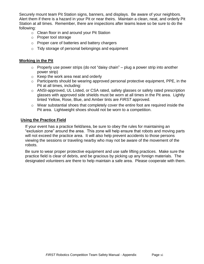Securely mount team Pit Station signs, banners, and displays. Be aware of your neighbors. Alert them if there is a hazard in your Pit or near theirs. Maintain a clean, neat, and orderly Pit Station at all times. Remember, there are inspections after teams leave so be sure to do the following:

- o Clean floor in and around your Pit Station
- o Proper tool storage
- o Proper care of batteries and battery chargers
- o Tidy storage of personal belongings and equipment

#### **Working in the Pit**

- $\circ$  Properly use power strips (do not "daisy chain" plug a power strip into another power strip)
- o Keep the work area neat and orderly
- o Participants should be wearing approved personal protective equipment, PPE, in the Pit at all times, including:
- o ANSI-approved, UL Listed, or CSA rated, safety glasses or safety rated prescription glasses with approved side shields must be worn at all times in the Pit area. Lightly tinted Yellow, Rose, Blue, and Amber tints are *FIRST* approved.
- o Wear substantial shoes that completely cover the entire foot are required inside the Pit area. Lightweight shoes should not be worn to a competition.

### **Using the Practice Field**

If your event has a practice field/area, be sure to obey the rules for maintaining an "exclusion zone" around the area. This zone will help ensure that robots and moving parts will not exceed the practice area. It will also help prevent accidents to those persons viewing the sessions or traveling nearby who may not be aware of the movement of the robots.

Be sure to wear proper protective equipment and use safe lifting practices. Make sure the practice field is clear of debris, and be gracious by picking up any foreign materials. The designated volunteers are there to help maintain a safe area. Please cooperate with them.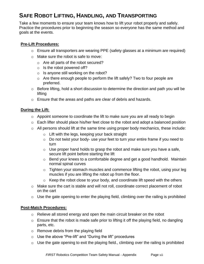# **SAFE ROBOT LIFTING, HANDLING, AND TRANSPORTING**

Take a few moments to ensure your team knows how to lift your robot properly and safely. Practice the procedures prior to beginning the season so everyone has the same method and goals at the events.

### **Pre-Lift Procedures:**

- o Ensure all transporters are wearing PPE (safety glasses at a minimum are required)
- o Make sure the robot is safe to move:
	- o Are all parts of the robot secured?
	- $\circ$  Is the robot powered off?
	- o Is anyone still working on the robot?
	- o Are there enough people to perform the lift safely? Two to four people are preferred.
- $\circ$  Before lifting, hold a short discussion to determine the direction and path you will be lifting
- o Ensure that the areas and paths are clear of debris and hazards.

### **During the Lift:**

- o Appoint someone to coordinate the lift to make sure you are all ready to begin
- o Each lifter should place his/her feet close to the robot and adopt a balanced position
- $\circ$  All persons should lift at the same time using proper body mechanics, these include:
	- o Lift with the legs, keeping your back straight
	- o Do not twist your body- use your feet to turn your entire frame if you need to turn
	- $\circ$  Use proper hand holds to grasp the robot and make sure you have a safe, secure lift point before starting the lift
	- o Bend your knees to a comfortable degree and get a good handhold. Maintain normal spinal curves
	- $\circ$  Tighten your stomach muscles and commence lifting the robot, using your leg muscles if you are lifting the robot up from the floor.
	- $\circ$  Keep the robot close to your body, and coordinate lift speed with the others
- o Make sure the cart is stable and will not roll, coordinate correct placement of robot on the cart
- $\circ$  Use the gate opening to enter the playing field, climbing over the railing is prohibited

#### **Post-Match Procedures:**

- o Relieve all stored energy and open the main circuit breaker on the robot
- $\circ$  Ensure that the robot is made safe prior to lifting it off the playing field, no dangling parts, etc.
- o Remove debris from the playing field
- o Use the above "Pre-lift" and "During the lift" procedures
- $\circ$  Use the gate opening to exit the playing field., climbing over the railing is prohibited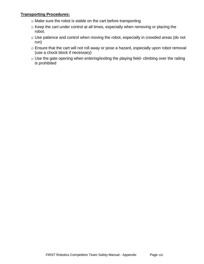### **Transporting Procedures:**

- o Make sure the robot is stable on the cart before transporting
- o Keep the cart under control at all times, especially when removing or placing the robot.
- o Use patience and control when moving the robot, especially in crowded areas (do not run)
- o Ensure that the cart will not roll away or pose a hazard, especially upon robot removal (use a chock block if necessary)
- o Use the gate opening when entering/exiting the playing field- climbing over the railing is prohibited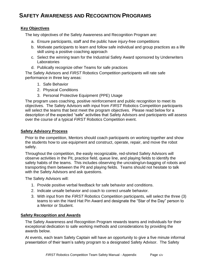## **SAFETY AWARENESS AND RECOGNITION PROGRAMS**

### **Key Objectives**

The key objectives of the Safety Awareness and Recognition Program are:

- a. Ensure participants, staff and the public have injury-free competitions
- b. Motivate participants to learn and follow safe individual and group practices as a life skill using a positive coaching approach
- c. Select the winning team for the Industrial Safety Award sponsored by Underwriters Laboratories
- d. Publically recognize other Teams for safe practices

The Safety Advisors and *FIRST* Robotics Competition participants will rate safe performance in three key areas:

- 1. Safe Behavior
- 2. Physical Conditions
- 3. Personal Protective Equipment (PPE) Usage

The program uses coaching, positive reinforcement and public recognition to meet its objectives. The Safety Advisors with input from *FIRST* Robotics Competition participants will select the teams that best meet the program objectives. Please read below for a description of the expected "safe" activities that Safety Advisors and participants will assess over the course of a typical *FIRST* Robotics Competition event.

### **Safety Advisory Process**

Prior to the competition, Mentors should coach participants on working together and show the students how to use equipment and construct, operate, repair, and move the robot safely.

Throughout the competition, the easily recognizable, red-shirted Safety Advisors will observe activities in the Pit, practice field, queue line, and playing fields to identify the safety habits of the teams. This includes observing the uncrating/un-bagging of robots and transporting them between the Pit and playing fields. Teams should not hesitate to talk with the Safety Advisors and ask questions.

The Safety Advisors will:

- 1. Provide positive verbal feedback for safe behavior and conditions.
- 2. Indicate unsafe behavior and coach to correct unsafe behavior.
- 3. With input from the *FIRST* Robotics Competition participants, will select the three (3) teams to win the Hard Hat Pin Award and designate the "Star of the Day" person to a Mentor or Student.

#### **Safety Recognition and Awards**

The Safety Awareness and Recognition Program rewards teams and individuals for their exceptional dedication to safe working methods and considerations by providing the awards below.

At events, each team Safety Captain will have an opportunity to give a five minute informal presentation of their team's safety program to a designated Safety Advisor. The Safety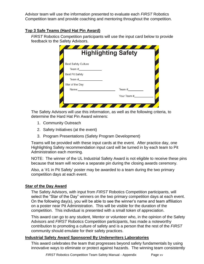Advisor team will use the information presented to evaluate each *FIRST* Robotics Competition team and provide coaching and mentoring throughout the competition.

### **Top 3 Safe Teams (Hard Hat Pin Award)**

*FIRST* Robotics Competition participants will use the input card below to provide feedback to the Safety Advisors.

|                            | <b>Highlighting Safety</b> |
|----------------------------|----------------------------|
|                            |                            |
| <b>Best Safety Culture</b> |                            |
| Team #                     |                            |
| <b>Best Pit Safety</b>     |                            |
| Team $#$                   |                            |
| Star of the Day            |                            |
| Name:                      | Team $#$                   |
|                            | Your Team #                |
|                            |                            |

The Safety Advisors will use this information, as well as the following criteria, to determine the Hard Hat Pin Award winners:

- 1. Community Outreach
- 2. Safety Initiatives (at the event)
- 3. Program Presentations (Safety Program Development)

Teams will be provided with these input cards at the event. After practice day, one Highlighting Safety recommendation input card will be turned in by each team to Pit Administration each morning.

NOTE: The winner of the UL Industrial Safety Award is not eligible to receive these pins because that team will receive a separate pin during the closing awards ceremony.

Also, a '#1 in Pit Safety' poster may be awarded to a team during the two primary competition days at each event.

#### **Star of the Day Award**

The Safety Advisors, with input from *FIRST* Robotics Competition participants, will select the "Star of the Day" winners on the two primary competition days at each event. On the following day(s), you will be able to see the winner's name and team affiliation on a poster near Pit Administration. This will be visible for the duration of the competition. This individual is presented with a small token of appreciation.

This award can go to any student, Mentor or volunteer who, in the opinion of the Safety Advisors and *FIRST* Robotics Competition participants, has made a noteworthy contribution to promoting a culture of safety and is a person that the rest of the *FIRST* community should emulate for their safety practices.

### **Industrial Safety Award Sponsored By Underwriters Laboratories**

This award celebrates the team that progresses beyond safety fundamentals by using innovative ways to eliminate or protect against hazards. The winning team consistently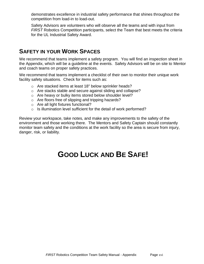demonstrates excellence in industrial safety performance that shines throughout the competition from load-in to load-out.

Safety Advisors are volunteers who will observe all the teams and with input from *FIRST* Robotics Competition participants, select the Team that best meets the criteria for the UL Industrial Safety Award.

### **SAFETY IN YOUR WORK SPACES**

We recommend that teams implement a safety program. You will find an inspection sheet in the Appendix, which will be a guideline at the events. Safety Advisors will be on site to Mentor and coach teams on proper safety practices.

We recommend that teams implement a checklist of their own to monitor their unique work facility safety situations. Check for items such as:

- o Are stacked items at least 18" below sprinkler heads?
- o Are stacks stable and secure against sliding and collapse?
- o Are heavy or bulky items stored below shoulder level?
- o Are floors free of slipping and tripping hazards?
- o Are all light fixtures functional?
- o Is illumination level sufficient for the detail of work performed?

Review your workspace, take notes, and make any improvements to the safety of the environment and those working there. The Mentors and Safety Captain should constantly monitor team safety and the conditions at the work facility so the area is secure from injury, danger, risk, or liability.

# **GOOD LUCK AND BE SAFE!**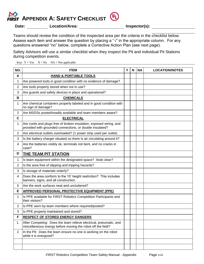

**Date: Location/Area: Inspector(s):**

Teams should review the condition of the inspected area per the criteria in the checklist below. Assess each item and answer the question by placing a " $\sqrt{ }$ " in the appropriate column. For any questions answered "no" below, complete a Corrective Action Plan (see next page).

Safety Advisors will use a similar checklist when they inspect the Pit and individual Pit Stations during competition events.

Key:  $Y = Yes \tN = No \tNA = Not applicable$ 

| NO.            | <b>ITEM</b>                                                                                                                      | Y | $\mathbf N$ | <b>NA</b> | <b>LOCATION/NOTES</b> |
|----------------|----------------------------------------------------------------------------------------------------------------------------------|---|-------------|-----------|-----------------------|
| A              | <b>HAND &amp; PORTABLE TOOLS</b>                                                                                                 |   |             |           |                       |
| 1              | Are powered tools in good condition with no evidence of damage?                                                                  |   |             |           |                       |
| $\overline{2}$ | Are tools properly stored when not in use?                                                                                       |   |             |           |                       |
| 3              | Are guards and safety devices in place and operational?                                                                          |   |             |           |                       |
| В              | <b>CHEMICALS</b>                                                                                                                 |   |             |           |                       |
| 1              | Are chemical containers properly labeled and in good condition with<br>no sign of damage?                                        |   |             |           |                       |
| $\overline{2}$ | Are MSDSs posted/readily available and team members aware?                                                                       |   |             |           |                       |
| C              | <b>ELECTRICAL</b>                                                                                                                |   |             |           |                       |
| 1              | Are cords and plugs free of broken insulation, exposed wiring, and<br>provided with grounded connections, or double insulated?   |   |             |           |                       |
| 2              | Are electrical outlets overloaded? (1 power strip used per outlet)                                                               |   |             |           |                       |
| 3              | Is the battery charger situated so there is air circulating around it?                                                           |   |             |           |                       |
| 4              | Are the batteries visibly ok, terminals not bent, and no cracks in<br>case?                                                      |   |             |           |                       |
| D              | THE TEAM PIT STATION                                                                                                             |   |             |           |                       |
| 1              | Is team equipment within the designated space? Aisle clear?                                                                      |   |             |           |                       |
| $\overline{2}$ | Is the area free of slipping and tripping hazards?                                                                               |   |             |           |                       |
| 3              | Is storage of materials orderly?                                                                                                 |   |             |           |                       |
| 4              | Does the area conform to the 10' height restriction? This includes<br>banners, signs, and all construction.                      |   |             |           |                       |
| 5              | Are the work surfaces neat and uncluttered?                                                                                      |   |             |           |                       |
| Е              | <b>APPROVED PERSONAL PROTECTIVE EQUIPMENT (PPE)</b>                                                                              |   |             |           |                       |
| 1              | Is PPE available for FIRST Robotics Competition Participants and<br>their visitors?                                              |   |             |           |                       |
| 2              | Is PPE worn by team members where required/posted?                                                                               |   |             |           |                       |
| 3              | Is PPE properly maintained and stored?                                                                                           |   |             |           |                       |
| F              | <b>RESPECT OF STORED ENERGY DANGERS</b>                                                                                          |   |             |           |                       |
| 1.             | After Competing: Does the team relieve electrical, pneumatic, and<br>miscellaneous energy before moving the robot off the field? |   |             |           |                       |
| 2              | In the Pit: Does the team ensure no one is working on the robot<br>while it is energized?                                        |   |             |           |                       |
|                |                                                                                                                                  |   |             |           |                       |
|                |                                                                                                                                  |   |             |           |                       |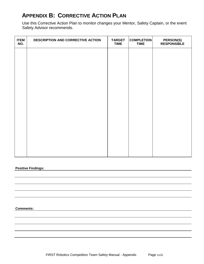## **APPENDIX B: CORRECTIVE ACTION PLAN**

Use this Corrective Action Plan to monitor changes your Mentor, Safety Captain, or the event Safety Advisor recommends.

| <b>ITEM</b><br>NO. | DESCRIPTION AND CORRECTIVE ACTION | <b>TARGET</b><br><b>TIME</b> | <b>COMPLETION</b><br><b>TIME</b> | <b>PERSON(S)</b><br><b>RESPONSIBLE</b> |
|--------------------|-----------------------------------|------------------------------|----------------------------------|----------------------------------------|
|                    |                                   |                              |                                  |                                        |
|                    |                                   |                              |                                  |                                        |
|                    |                                   |                              |                                  |                                        |
|                    |                                   |                              |                                  |                                        |
|                    |                                   |                              |                                  |                                        |
|                    |                                   |                              |                                  |                                        |
|                    |                                   |                              |                                  |                                        |
|                    |                                   |                              |                                  |                                        |
|                    |                                   |                              |                                  |                                        |
|                    |                                   |                              |                                  |                                        |

#### **Positive Findings:**

**Comments:**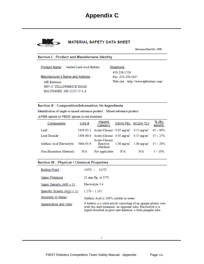# **Appendix C**



#### **MATERIAL SAFETY DATA SHEET**

Revision Date:Oct. 2008

#### Section I: Product and Manufacturer Identity

Product Name: Sealed Lead-Acid Battery

Manufacturer's Name and Address : **MK** Batteries 8997-C YELLOWBRICK ROAD. BALTIMORE, MD 21237 U.S.A.

Telephone: 410-238-1526 Fax: 410-238-1047 Web-site: http://www.mkbattery.com/

#### Section II : Composition/Information On Ingredients

Identification of single or mixed substance product : Mixed substance product.

#### ※PBB spices or PBDE spices is not involved

| Components                | CAS#      | <u>Hazard</u><br>Category                                                      |     | <b>OSHA PEL ACGIH TLV</b>                             | $%$ (By<br>weight) |
|---------------------------|-----------|--------------------------------------------------------------------------------|-----|-------------------------------------------------------|--------------------|
| Lead                      |           | 7439-92-1 Acute-Chronic 0.05 mg/m <sup>3</sup> 0.15 mg/m <sup>3</sup> 45 ~ 60% |     |                                                       |                    |
| Lead Dioxide              |           | 1309-60-0 Acute-Chronic 0.05 mg/m <sup>3</sup> 0.15 mg/m <sup>3</sup> 15 ~ 25% |     |                                                       |                    |
| Sulfuric Acid Electrolyte | 7664-93-9 | Acute-Chronic<br>Reactive<br>-Oxidizer                                         |     | $1.00 \text{ mg/m}^3$ 1.00 mg/m <sup>3</sup> 15 ~ 20% |                    |
| Non-Hazardous Materials   | N/A       | Not applicable                                                                 | N/A | N/A                                                   | $5 \sim 10\%$      |

#### Section III : Physical / Chemical Properties

| <b>Boiling Point:</b>            | $110^{\circ}$ C ~ $112^{\circ}$ C                                                                                                                                                                 |
|----------------------------------|---------------------------------------------------------------------------------------------------------------------------------------------------------------------------------------------------|
| Vapor Pressure :                 | 21 mm Hg. at $25^{\circ}$ C                                                                                                                                                                       |
| Vapor Density (AIR = $1$ ) :     | Electrolyte 3.4                                                                                                                                                                                   |
| Specific Gravity ( $H_2O = 1$ ): | $1.270 - 1.335$                                                                                                                                                                                   |
| Solubility in Water:             | Sulfuric Acid is 100% soluble in water.                                                                                                                                                           |
| Appearance and Odor:             | A battery is a solid article consisting of an opaque plastic case<br>with two lead terminals; no apparent odor. Electrolyte is a<br>liquid absorbed in glass mat material, a little pungent odor. |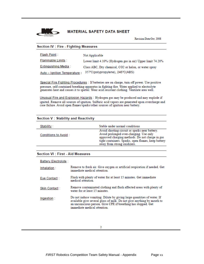

Revision Date:Oct. 2008

#### **Section IV: Fire - Fighting Measures**

| <b>Flash Point:</b>          | Not Applicable                                             |
|------------------------------|------------------------------------------------------------|
| <b>Flammable Limits:</b>     | Lower limit 4.10% (Hydrogen gas in air) Upper limit 74.20% |
| <b>Extinguishing Media:</b>  | Class ABC, Dry chemical, CO2 or halon, or water spray      |
| Auto - Ignition Temperature: | 357°C(polypropylene), 245°C(ABS)                           |

Special Fire Fighting Procedures : If batteries are on charge, turn off power. Use positive pressure, self-contained breathing apparatus in fighting fire. Water applied to electrolyte generates heat and causes it to spatter. Wear acid resistant clothing. Ventilate area well.

Unusual Fire and Explosion Hazards : Hydrogen gas may be produced and may explode if ignited. Remove all sources of ignition. Sulfuric acid vapors are generated upon overcharge and case failure. Avoid open flames/sparks/other sources of ignition near battery.

#### **Section V: Stability and Reactivity**

| Stability:           | Stable under normal conditions                                                                                                                                                                                                     |
|----------------------|------------------------------------------------------------------------------------------------------------------------------------------------------------------------------------------------------------------------------------|
| Conditions to Avoid: | Avoid shorting circuit or sparks near battery.<br>Avoid prolonged over-charging. Use only<br>approved charging methods. Do not charge in gas<br>tight containers. Sparks, open flames, keep battery<br>away from strong oxidizers. |
|                      |                                                                                                                                                                                                                                    |

#### **Section VI : First - Aid Measures**

| <b>Battery Electrolyte:</b> |                                                                                                                                                                                                                                                   |
|-----------------------------|---------------------------------------------------------------------------------------------------------------------------------------------------------------------------------------------------------------------------------------------------|
| Inhalation:                 | Remove to fresh air. Give oxygen or artificial respiration if needed. Get<br>immediate medical attention.                                                                                                                                         |
| Eye Contact:                | Flush with plenty of water for at least 15 minutes. Get immediate<br>medical attention                                                                                                                                                            |
| Skin Contact:               | Remove contaminated clothing and flush affected areas with plenty of<br>water for at least 15 minutes.                                                                                                                                            |
| Ingestion:                  | Do not induce vomiting. Dilute by giving large quantities of water. If<br>available give several glass of milk. Do not give anything by mouth to<br>an unconscious person. Give CPR if breathing has stopped. Get<br>immediate medical attention. |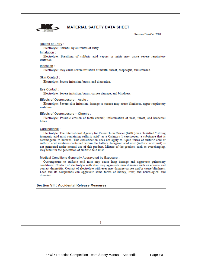

Revision Date:Oct 2008

#### Routes of Entry:

Electrolyte: Harmful by all routes of entry.

#### Inhalation:

Electrolyte: Breathing of sulfuric acid vapors or mists may cause severe respiratory irritation.

#### Ingestion:

Electrolyte: May cause severe irritation of mouth, throat, esophagus, and stomach.

#### Skin Contact:

Electrolyte: Severe irritation, burns, and ulceration.

#### Eye Contact:

Electrolyte: Severe irritation, burns, cornea damage, and blindness.

#### Effects of Overexposure - Acute :

Electrolyte: Severe skin irritation, damage to cornea may cause blindness, upper respiratory irritation.

#### Effects of Overexposure - Chronic :

Electrolyte: Possible erosion of tooth enamel; inflammation of nose, throat, and bronchial tubes.

#### Carcinogenic:

Electrolyte: The International Agency for Research on Cancer (IARC) has classified " strong inorganic acid mist containing sulfuric acid" as a Category 1 carcinogen, a substance that is carcinogenic to humans. This classification does not apply to liquid forms of sulfuric acid or sulfuric acid solutions contained within the battery. Inorganic acid mist (sulfuric acid mist) is not generated under normal use of this product. Misuse of the product, such as overcharging, may result in the generation of sulfuric acid mist.

#### Medical Conditions Generally Aggravated by Exposure:

Overexposure to sulfuric acid mist may cause lung damage and aggravate pulmonary conditions. Contact of electrolyte with skin may aggravate skin diseases such as eczema and contact dermatitis. Contact of electrolyte with eyes may damage cornea and/or cause blindness. Lead and its compounds can aggravate some forms of kidney, liver, and neurological and diseases.

#### **Section VII : Accidental Release Measures**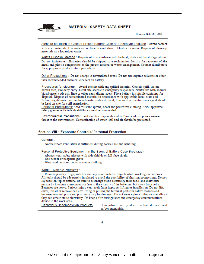

Revision Date:Oct. 2008

Steps to be Taken in Case of Broken Battery Case or Electrolyte Leakage : Avoid contact with acid materials. Use soda ash or lime to neutralize. Flush with water. Dispose of clean-up materials as a hazardous waste.

Waste Disposal Method : Dispose of in accordance with Federal, State and Local Regulations. Do not incinerate. Batteries should be shipped to a reclamation facility for recovery of the metal and plastic components as the proper method of waste management. Contact distributors for appropriate product return procedures.

Other Precautions : Do not charge in unventilated areas. Do not use organic solvents or other than recommended chemical cleaners on battery.

Procedures for cleanup. Avoid contact with any spilled material. Contain spill, isolate hazard area, and deny entry. Limit site access to emergency responders. Neutralize with sodium bicarbonate, soda ash, lime or other neutralizing agent. Place battery in suitable container for disposal. Dispose of contaminated material in accordance with applicable local, state and federal regulations. Sodium bicarbonate, soda ash, sand, lime or other neutralizing agent should be kept on-site for spill remediation.

Personal Precautions: Acid resistant aprons, boots and protective clothing. ANSI approved safety glasses with side shields/face shield recommended.

Environmental Precautions: Lead and its compounds and sulfuric acid can pose a severe threat to the environment. Contamination of water, soil and air should be prevented.

#### **Section VIII : Exposure Controls/ Personal Protection**

#### General:

Normal room ventilation is sufficient during normal use and handling.

Personal Protective Equipment (in the Event of Battery Case Breakage) :

Always wear safety glasses with side shields or full-face shield. Use rubber or neoprene glove.

Wear acid resistant boots, apron or clothing.

#### Work / Hygienic Practices :

Remove jewelry, rings, watcher and any other metallic objects while working on batteries. All tools should be adequately insulated to avoid the possibility of shorting connections. Do not lay tools on top of battery. Be sure to discharge static electricity from tools and individual person by touching a grounded surface in the vicinity of the batteries, but away from cells. Batteries are heavy. Serious injury can result from improper lifting or installation. Do not lift, carry, install or remove cells by lifting or pulling the terminal posts for safety reasons and because terminal posts and post seals may be damaged. Do not wear nylon clothes or overalls as they can create static electricity. Do keep a fire extinguisher and emergency communications device in the work area.

| <b>Hazardous Decomposition Products</b> | Combustion can produce carbon dioxide and |  |  |  |  |
|-----------------------------------------|-------------------------------------------|--|--|--|--|
| carbon monoxide.                        |                                           |  |  |  |  |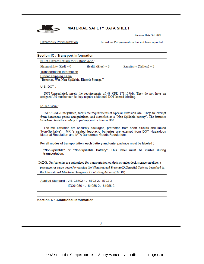

Revision Date:Oct. 2008

**Hazardous Polymerization** 

Hazardous Polymerization has not been reported.

#### **Section IX: Transport Information**

NFPA Hazard Rating for Sulfuric Acid:

Flammability ( $Red$ ) = 0

 $Health (Blue) = 3$ 

Reactivity (Yellow) =  $2$ 

**Transportation Information** Proper shipping name: "Batteries, Wet, Non-Spillable, Electric Storage."

U.S. DOT:

DOT-Unregulated, meets the requirements of 49 CFR 173.159(d). They do not have an assigned UN number nor do they require additional DOT hazard labeling.

#### **IATA / ICAO:**

IATA/ICAO-Unregulated, meets the requirements of Special Provision A67. They are exempt from hazardous goods unregulations, and classified as a "Non-Spillable battery". The batteries have been tested according to packing instruction no. 806

The MK batteries are securely packaged, protected from short circuits and labled 'Non-Spillable". MK 's sealed lead-acid batteries are exempt from DOT Hazardous Material Regulation and IATA Dangerous Goods Regulations

For all modes of transportation, each battery and outer package must be labeled :

"Non-Spillable" or "Non-Spillable Battery". This label must be visible during transportation.

IMDG: Our batteries are authorized for transportation on deck or under deck storage on either a passenger or cargo vessel by passing the Vibration and Pressure Differential Tests as described in the International Maritime Dangerous Goods Regulations (IMDG).

Applied Standard: JIS C8702-1, 8702-2, 8702-3 IEC61056-1、61056-2、61056-3

**Section X: Additional Information**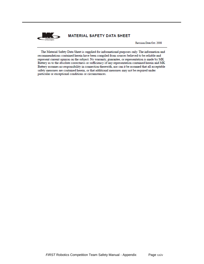

Revision Date:Oct. 2008

The Material Safety Data Sheet is supplied for informational purposes only. The information and recommendations contained herein have been compiled from sources believed to be reliable and represent current opinion on the subject. No warranty, guarantee, or representation is made by MK Battery as to the absolute correctness or sufficiency of any representation contained herein and MK Battery assumes no responsibility in connection therewith, nor can it be assumed that all acceptable safety measures are contained herein, or that additional measures may not be required under particular or exceptional conditions or circumstances.